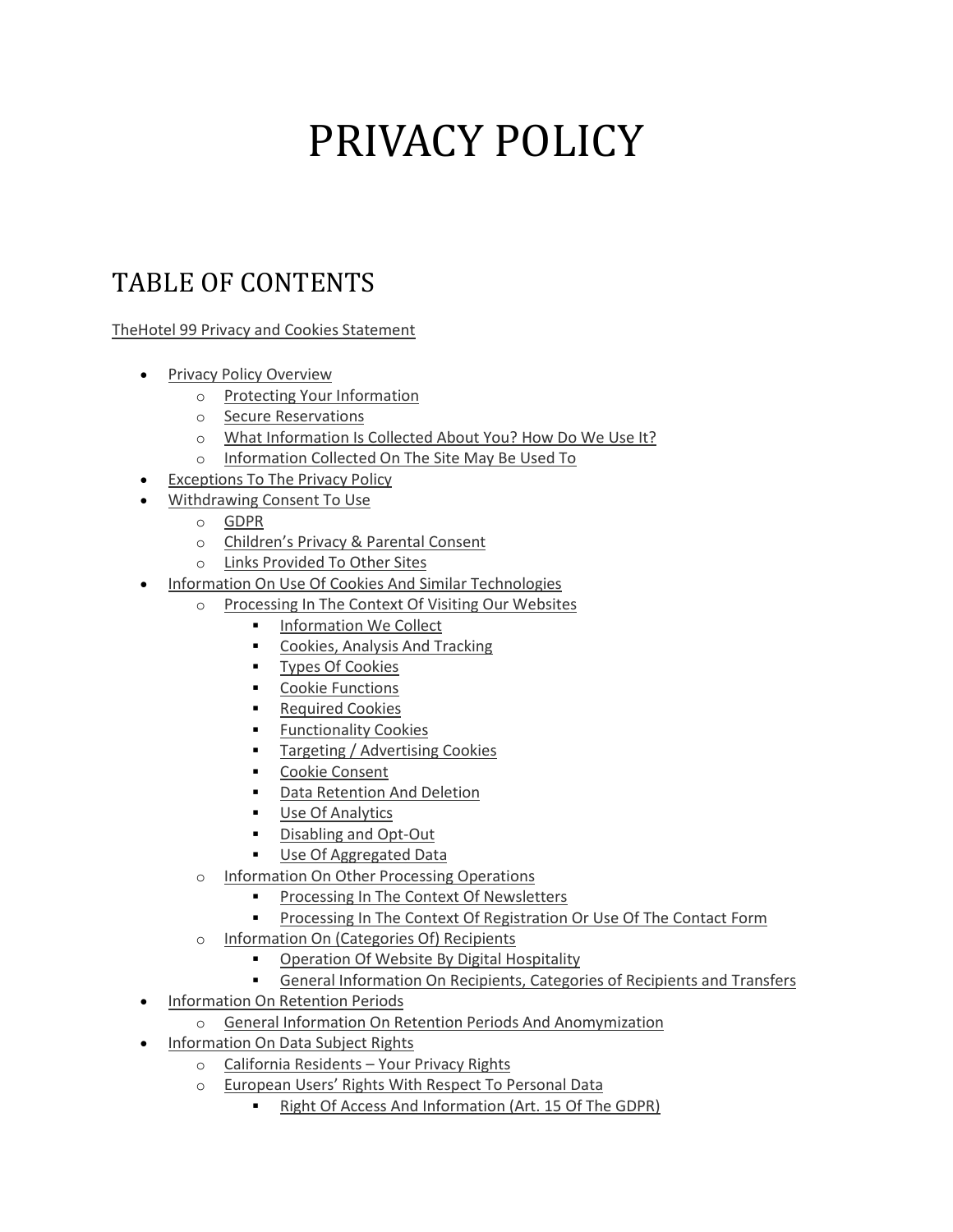# PRIVACY POLICY

# TABLE OF CONTENTS

[TheHotel 99 Privacy and Cookies Statement](https://www.hotel99.com/privacy-policy#The-Roehampton-Hotel-Privacy-and-Cookies-Statement)

- [Privacy Policy Overview](https://www.hotel99.com/privacy-policy#Privacy-Policy-Overview)
	- o [Protecting Your Information](https://www.hotel99.com/privacy-policy#Protecting-Your-Information)
	- o [Secure Reservations](https://www.hotel99.com/privacy-policy#Secure-Reservations)
	- o [What Information Is Collected About You? How Do We Use It?](https://www.hotel99.com/privacy-policy#What-Information-Is-Collected-About-You)
	- o [Information Collected On The Site May Be Used To](https://www.hotel99.com/privacy-policy#Information-Collected-On-The-Site-May-Be-Used-To)
- **[Exceptions To The Privacy Policy](https://www.hotel99.com/privacy-policy#Exceptions-To-The-Privacy-Policy)**
- [Withdrawing Consent To Use](https://www.hotel99.com/privacy-policy#Withdrawing-Consent-To-Use)
	- o [GDPR](https://www.hotel99.com/privacy-policy#GDPR)
	- o [Children's Privacy & Parental Consent](https://www.hotel99.com/privacy-policy#Children-Privacy-and-Parental-Consent)
	- o [Links Provided To Other Sites](https://www.hotel99.com/privacy-policy#Links-Provided-To-Other-Sites)
- [Information On Use Of Cookies And Similar Technologies](https://www.hotel99.com/privacy-policy#Information-On-Use-Of-Cookies-And-Similar-Technologies)
	- o [Processing In The Context Of Visiting Our Websites](https://www.hotel99.com/privacy-policy#Processing-in-the-Context-of-Visiting-our-Website)
		- **[Information We Collect](https://www.hotel99.com/privacy-policy#Information-We-Collect)**
		- [Cookies, Analysis And Tracking](https://www.hotel99.com/privacy-policy#Cookies-Analysis-And-Tracking)
		- [Types Of Cookies](https://www.hotel99.com/privacy-policy#Types-of-Cookies)
		- [Cookie Functions](https://www.hotel99.com/privacy-policy#Cookie-Functions)
		- [Required Cookies](https://www.hotel99.com/privacy-policy#Required-Cookies)
		- **EUNITED FUNCTIONALLY** Cookies
		- [Targeting / Advertising Cookies](https://www.hotel99.com/privacy-policy#Targeting-Advertising-Cookies)
		- [Cookie Consent](https://www.hotel99.com/privacy-policy#Cookie-Consent)
		- [Data Retention And Deletion](https://www.hotel99.com/privacy-policy#Data-Retention-and-Deletion)
		- **[Use Of Analytics](https://www.hotel99.com/privacy-policy#Use-of-Analytics)**
		- [Disabling and Opt-Out](https://www.hotel99.com/privacy-policy#Disabling-and-Opt-Out)
		- **[Use Of Aggregated Data](https://www.hotel99.com/privacy-policy#Use-Of-Aggregated-Data)**
	- o [Information On Other Processing Operations](https://www.hotel99.com/privacy-policy#Information-on-Other-Processing-Operations)
		- [Processing In The Context Of Newsletters](https://www.hotel99.com/privacy-policy#Processing-In-The-Context-Of-Newsletters)
		- [Processing In The Context Of Registration Or Use Of The Contact Form](https://www.hotel99.com/privacy-policy#Processing-In-The-Context-Of-Registration-Or-Use%20Of-The-Contact-Form)
	- o [Information On \(Categories Of\) Recipients](https://www.hotel99.com/privacy-policy#Information-on-Recipients)
		- [Operation Of Website By Digital Hospitality](https://www.hotel99.com/privacy-policy#Operation-Of-Website-By-Digital-Hospitality)
		- [General Information On Recipients, Categories of Recipients and Transfers](https://www.hotel99.com/privacy-policy#General-Information-On-Recipients-Categories-of-Recipients-and-Transfers)
- [Information On Retention Periods](https://www.hotel99.com/privacy-policy#Information-on-Retention-Periods)
	- o [General Information On Retention Periods And Anomymization](https://www.hotel99.com/privacy-policy#General-Information-on-Retention-Periods-and-Anonymization)
- [Information On Data Subject Rights](https://www.hotel99.com/privacy-policy#Information-on-Data-Subject-Rights)
	- o [California Residents](https://www.hotel99.com/privacy-policy#California-Residents-Your-Privacy-Rights)  Your Privacy Rights
	- o [European Users' Rights With Respect To Personal Data](https://www.hotel99.com/privacy-policy#European-Users-Rights-with-Respect-to-Personal-Data)
		- [Right Of Access And Information \(Art. 15 Of The GDPR\)](https://www.hotel99.com/privacy-policy#Right-of-Access-and-Information)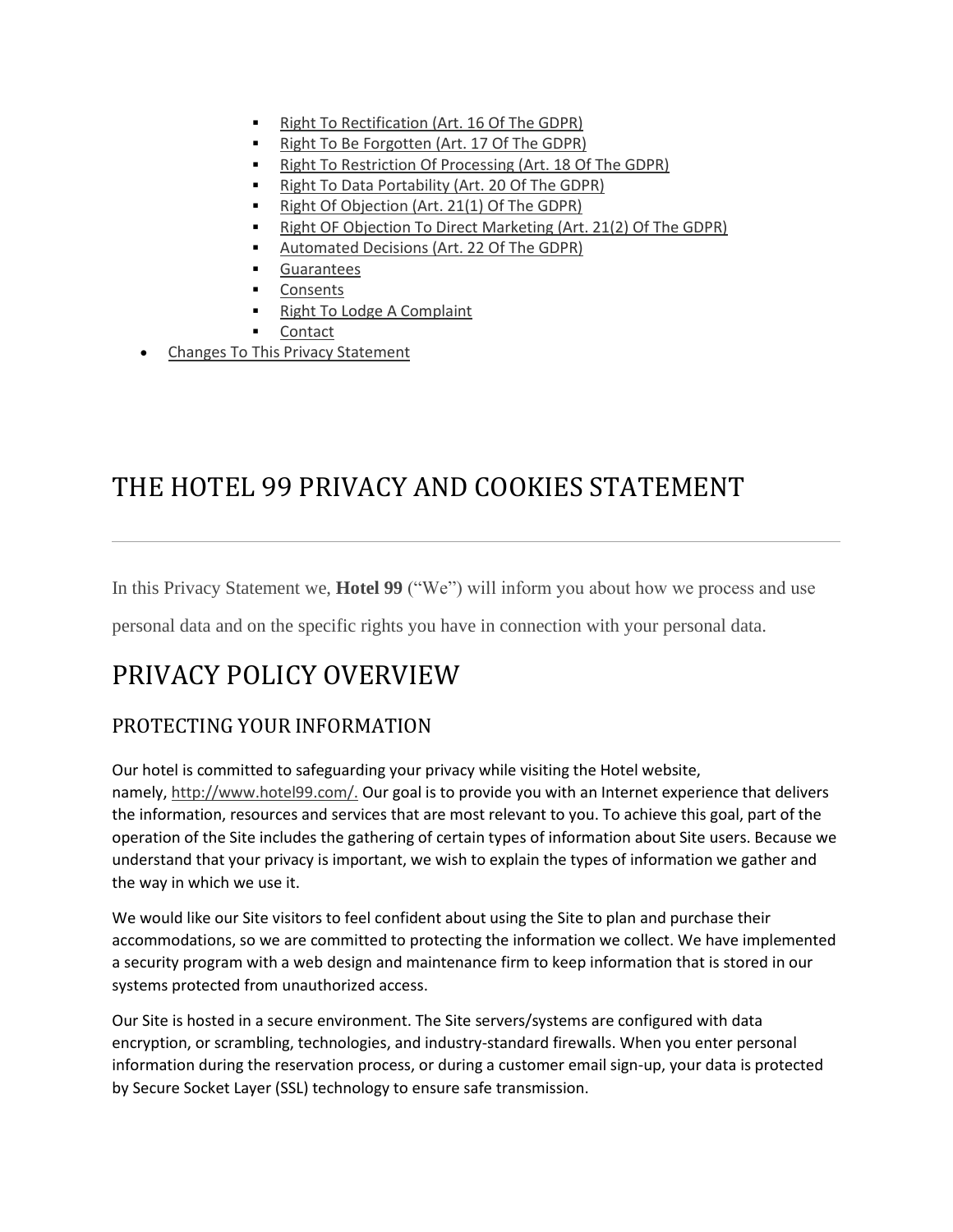- [Right To Rectification \(Art. 16 Of The GDPR\)](https://www.hotel99.com/privacy-policy#Right-to-Rectification)
- [Right To Be Forgotten \(Art. 17 Of The GDPR\)](https://www.hotel99.com/privacy-policy#Right-to-be-Forgotten)
- [Right To Restriction Of Processing \(Art. 18 Of The GDPR\)](https://www.hotel99.com/privacy-policy#Right-to-Restriction-of-Processing)
- [Right To Data Portability \(Art. 20 Of The GDPR\)](https://www.hotel99.com/privacy-policy#Right-to-Data-Portability)
- [Right Of Objection \(Art. 21\(1\) Of The GDPR\)](https://www.hotel99.com/privacy-policy#Right-of-Objection)
- [Right OF Objection To Direct Marketing \(Art. 21\(2\) Of The GDPR\)](https://www.hotel99.com/privacy-policy#Right-of-Objection-to-Direct-Marketing)
- [Automated Decisions \(Art. 22 Of The GDPR\)](https://www.hotel99.com/privacy-policy#Automated-Decisions)
- **[Guarantees](https://www.hotel99.com/privacy-policy#Guarantees)**
- **[Consents](https://www.hotel99.com/privacy-policy#Consents)**
- [Right To Lodge A Complaint](https://www.hotel99.com/privacy-policy#Right-to-Lodge-a-Complaint)
- [Contact](https://www.hotel99.com/privacy-policy#Contact)
- [Changes To This Privacy Statement](https://www.hotel99.com/privacy-policy#Changes-To-This-Privacy-Statement)

# THE HOTEL 99 PRIVACY AND COOKIES STATEMENT

In this Privacy Statement we, **Hotel 99** ("We") will inform you about how we process and use

personal data and on the specific rights you have in connection with your personal data.

# PRIVACY POLICY OVERVIEW

# PROTECTING YOUR INFORMATION

Our hotel is committed to safeguarding your privacy while visiting the Hotel website, namely, [http://www.hotel99.com/.](http://www.hotel99.com/) Our goal is to provide you with an Internet experience that delivers the information, resources and services that are most relevant to you. To achieve this goal, part of the operation of the Site includes the gathering of certain types of information about Site users. Because we understand that your privacy is important, we wish to explain the types of information we gather and the way in which we use it.

We would like our Site visitors to feel confident about using the Site to plan and purchase their accommodations, so we are committed to protecting the information we collect. We have implemented a security program with a web design and maintenance firm to keep information that is stored in our systems protected from unauthorized access.

Our Site is hosted in a secure environment. The Site servers/systems are configured with data encryption, or scrambling, technologies, and industry-standard firewalls. When you enter personal information during the reservation process, or during a customer email sign-up, your data is protected by Secure Socket Layer (SSL) technology to ensure safe transmission.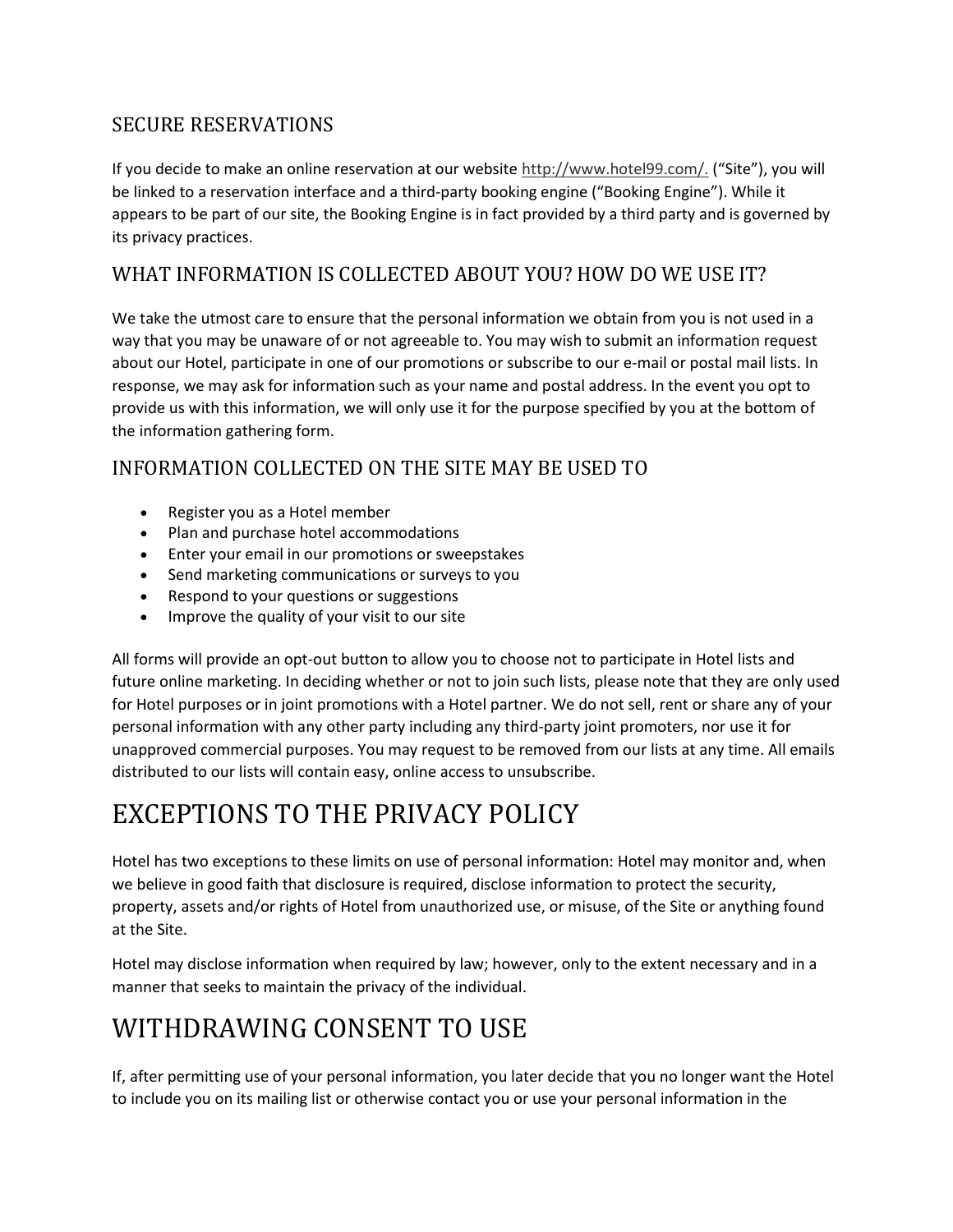# SECURE RESERVATIONS

If you decide to make an online reservation at our website [http://www.hotel99.com/.](http://www.hotel99.com/) ("Site"), you will be linked to a reservation interface and a third-party booking engine ("Booking Engine"). While it appears to be part of our site, the Booking Engine is in fact provided by a third party and is governed by its privacy practices.

## WHAT INFORMATION IS COLLECTED ABOUT YOU? HOW DO WE USE IT?

We take the utmost care to ensure that the personal information we obtain from you is not used in a way that you may be unaware of or not agreeable to. You may wish to submit an information request about our Hotel, participate in one of our promotions or subscribe to our e-mail or postal mail lists. In response, we may ask for information such as your name and postal address. In the event you opt to provide us with this information, we will only use it for the purpose specified by you at the bottom of the information gathering form.

# INFORMATION COLLECTED ON THE SITE MAY BE USED TO

- Register you as a Hotel member
- Plan and purchase hotel accommodations
- Enter your email in our promotions or sweepstakes
- Send marketing communications or surveys to you
- Respond to your questions or suggestions
- Improve the quality of your visit to our site

All forms will provide an opt-out button to allow you to choose not to participate in Hotel lists and future online marketing. In deciding whether or not to join such lists, please note that they are only used for Hotel purposes or in joint promotions with a Hotel partner. We do not sell, rent or share any of your personal information with any other party including any third-party joint promoters, nor use it for unapproved commercial purposes. You may request to be removed from our lists at any time. All emails distributed to our lists will contain easy, online access to unsubscribe.

# EXCEPTIONS TO THE PRIVACY POLICY

Hotel has two exceptions to these limits on use of personal information: Hotel may monitor and, when we believe in good faith that disclosure is required, disclose information to protect the security, property, assets and/or rights of Hotel from unauthorized use, or misuse, of the Site or anything found at the Site.

Hotel may disclose information when required by law; however, only to the extent necessary and in a manner that seeks to maintain the privacy of the individual.

# WITHDRAWING CONSENT TO USE

If, after permitting use of your personal information, you later decide that you no longer want the Hotel to include you on its mailing list or otherwise contact you or use your personal information in the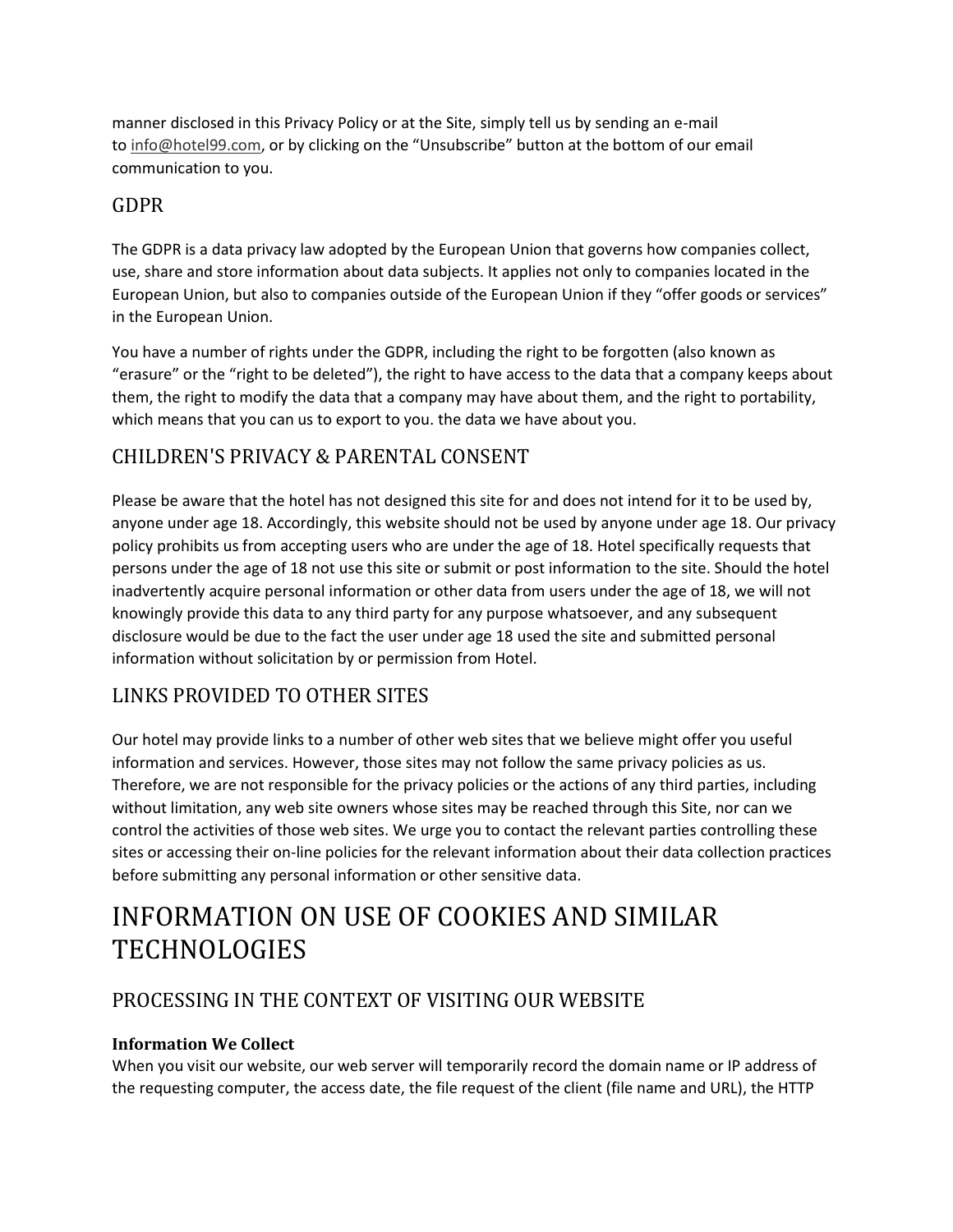manner disclosed in this Privacy Policy or at the Site, simply tell us by sending an e-mail to [info@hotel99.com](mailto:info@hotel99.com), or by clicking on the "Unsubscribe" button at the bottom of our email communication to you.

# GDPR

The GDPR is a data privacy law adopted by the European Union that governs how companies collect, use, share and store information about data subjects. It applies not only to companies located in the European Union, but also to companies outside of the European Union if they "offer goods or services" in the European Union.

You have a number of rights under the GDPR, including the right to be forgotten (also known as "erasure" or the "right to be deleted"), the right to have access to the data that a company keeps about them, the right to modify the data that a company may have about them, and the right to portability, which means that you can us to export to you. the data we have about you.

# CHILDREN'S PRIVACY & PARENTAL CONSENT

Please be aware that the hotel has not designed this site for and does not intend for it to be used by, anyone under age 18. Accordingly, this website should not be used by anyone under age 18. Our privacy policy prohibits us from accepting users who are under the age of 18. Hotel specifically requests that persons under the age of 18 not use this site or submit or post information to the site. Should the hotel inadvertently acquire personal information or other data from users under the age of 18, we will not knowingly provide this data to any third party for any purpose whatsoever, and any subsequent disclosure would be due to the fact the user under age 18 used the site and submitted personal information without solicitation by or permission from Hotel.

# LINKS PROVIDED TO OTHER SITES

Our hotel may provide links to a number of other web sites that we believe might offer you useful information and services. However, those sites may not follow the same privacy policies as us. Therefore, we are not responsible for the privacy policies or the actions of any third parties, including without limitation, any web site owners whose sites may be reached through this Site, nor can we control the activities of those web sites. We urge you to contact the relevant parties controlling these sites or accessing their on-line policies for the relevant information about their data collection practices before submitting any personal information or other sensitive data.

# INFORMATION ON USE OF COOKIES AND SIMILAR **TECHNOLOGIES**

# PROCESSING IN THE CONTEXT OF VISITING OUR WEBSITE

### **Information We Collect**

When you visit our website, our web server will temporarily record the domain name or IP address of the requesting computer, the access date, the file request of the client (file name and URL), the HTTP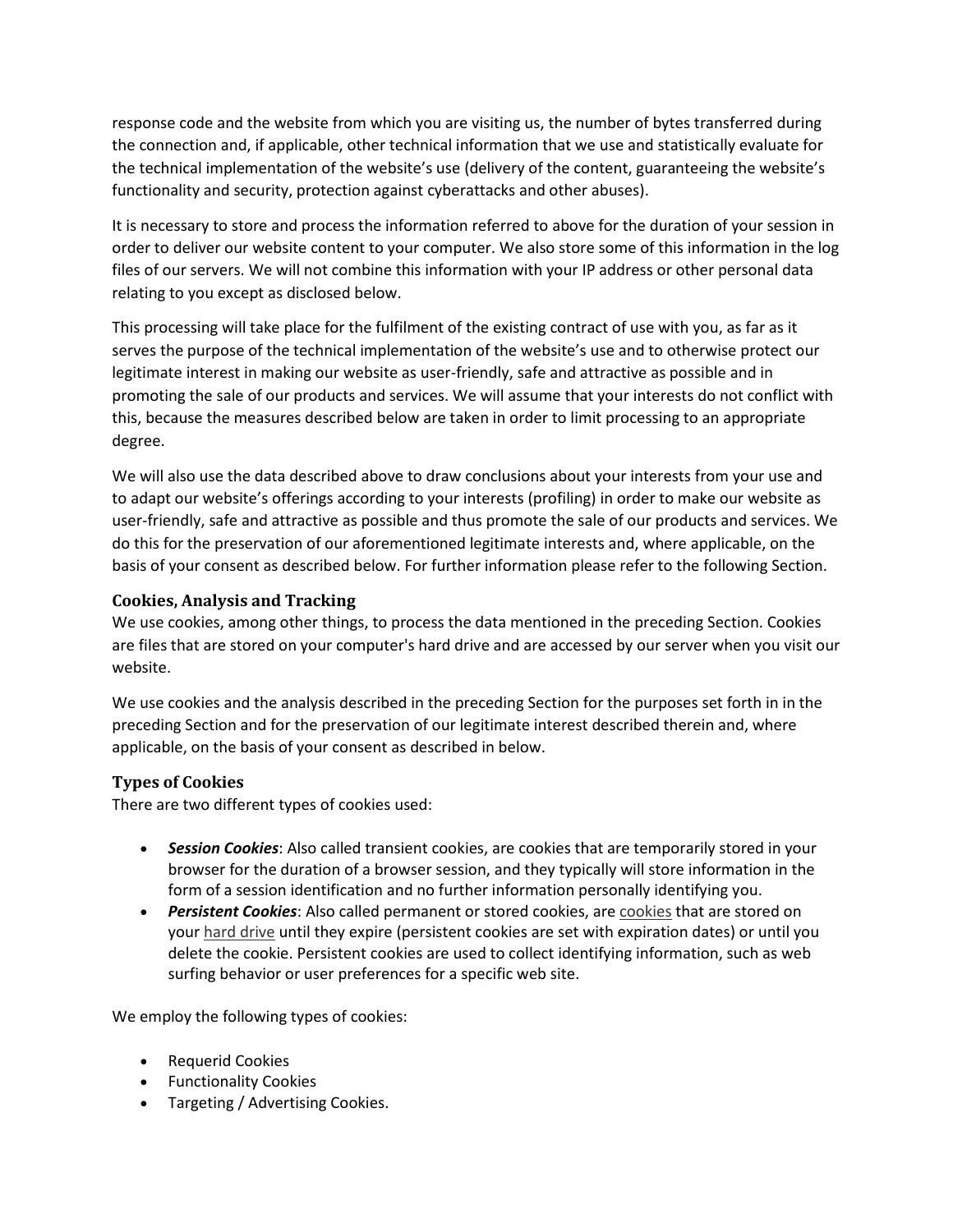response code and the website from which you are visiting us, the number of bytes transferred during the connection and, if applicable, other technical information that we use and statistically evaluate for the technical implementation of the website's use (delivery of the content, guaranteeing the website's functionality and security, protection against cyberattacks and other abuses).

It is necessary to store and process the information referred to above for the duration of your session in order to deliver our website content to your computer. We also store some of this information in the log files of our servers. We will not combine this information with your IP address or other personal data relating to you except as disclosed below.

This processing will take place for the fulfilment of the existing contract of use with you, as far as it serves the purpose of the technical implementation of the website's use and to otherwise protect our legitimate interest in making our website as user-friendly, safe and attractive as possible and in promoting the sale of our products and services. We will assume that your interests do not conflict with this, because the measures described below are taken in order to limit processing to an appropriate degree.

We will also use the data described above to draw conclusions about your interests from your use and to adapt our website's offerings according to your interests (profiling) in order to make our website as user-friendly, safe and attractive as possible and thus promote the sale of our products and services. We do this for the preservation of our aforementioned legitimate interests and, where applicable, on the basis of your consent as described below. For further information please refer to the following Section.

#### **Cookies, Analysis and Tracking**

We use cookies, among other things, to process the data mentioned in the preceding Section. Cookies are files that are stored on your computer's hard drive and are accessed by our server when you visit our website.

We use cookies and the analysis described in the preceding Section for the purposes set forth in in the preceding Section and for the preservation of our legitimate interest described therein and, where applicable, on the basis of your consent as described in below.

#### **Types of Cookies**

There are two different types of cookies used:

- *Session Cookies*: Also called transient cookies, are cookies that are temporarily stored in your browser for the duration of a browser session, and they typically will store information in the form of a session identification and no further information personally identifying you.
- *Persistent Cookies*: Also called permanent or stored cookies, are [cookies](https://www.webopedia.com/TERM/C/cookie.html) that are stored on your [hard drive](https://www.webopedia.com/TERM/H/hard_drive.html) until they expire (persistent cookies are set with expiration dates) or until you delete the cookie. Persistent cookies are used to collect identifying information, such as web surfing behavior or user preferences for a specific web site.

We employ the following types of cookies:

- Requerid Cookies
- Functionality Cookies
- Targeting / Advertising Cookies.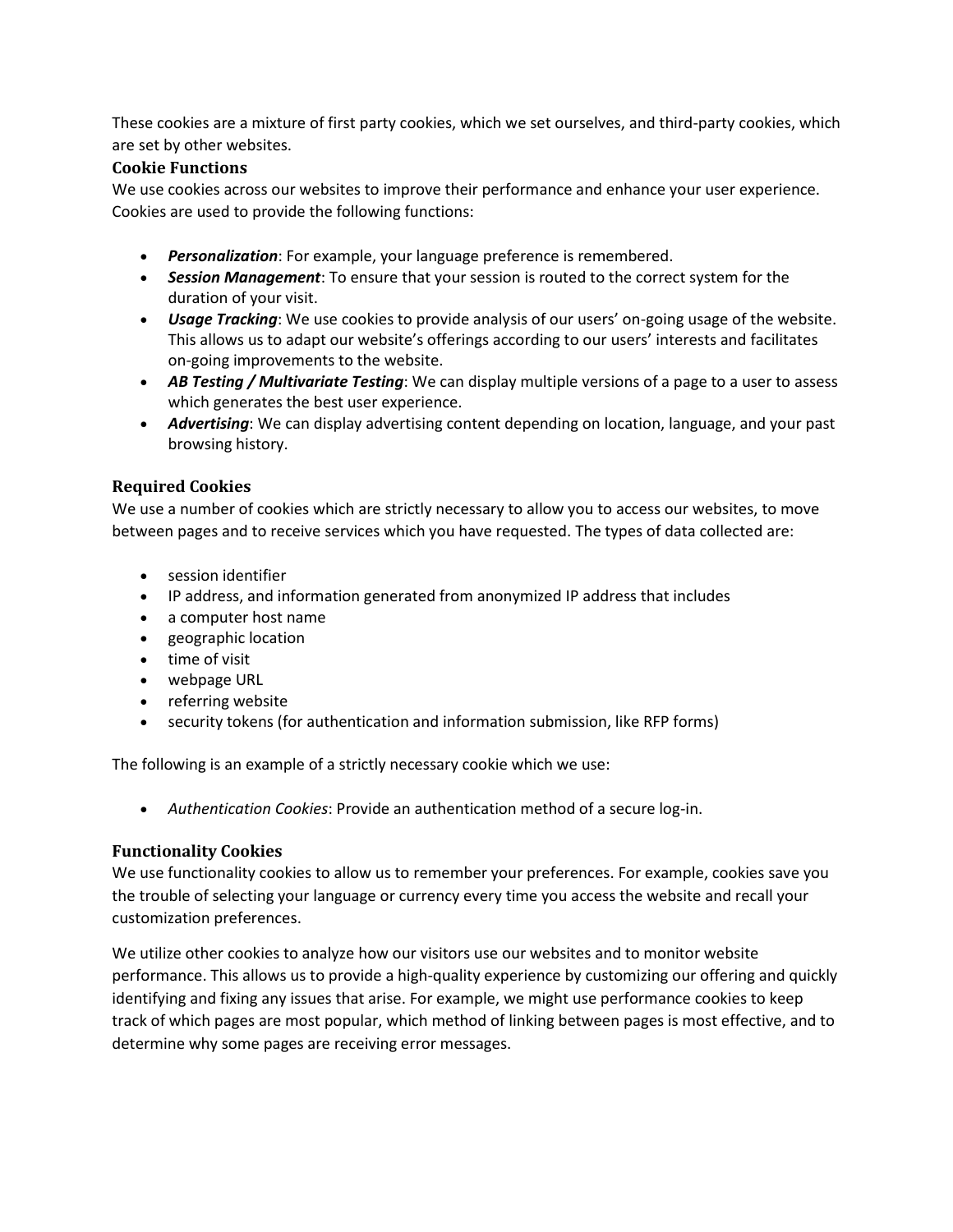These cookies are a mixture of first party cookies, which we set ourselves, and third-party cookies, which are set by other websites.

#### **Cookie Functions**

We use cookies across our websites to improve their performance and enhance your user experience. Cookies are used to provide the following functions:

- *Personalization*: For example, your language preference is remembered.
- *Session Management*: To ensure that your session is routed to the correct system for the duration of your visit.
- *Usage Tracking*: We use cookies to provide analysis of our users' on-going usage of the website. This allows us to adapt our website's offerings according to our users' interests and facilitates on-going improvements to the website.
- *AB Testing / Multivariate Testing*: We can display multiple versions of a page to a user to assess which generates the best user experience.
- *Advertising*: We can display advertising content depending on location, language, and your past browsing history.

#### **Required Cookies**

We use a number of cookies which are strictly necessary to allow you to access our websites, to move between pages and to receive services which you have requested. The types of data collected are:

- session identifier
- IP address, and information generated from anonymized IP address that includes
- a computer host name
- geographic location
- time of visit
- webpage URL
- referring website
- security tokens (for authentication and information submission, like RFP forms)

The following is an example of a strictly necessary cookie which we use:

• *Authentication Cookies*: Provide an authentication method of a secure log-in.

#### **Functionality Cookies**

We use functionality cookies to allow us to remember your preferences. For example, cookies save you the trouble of selecting your language or currency every time you access the website and recall your customization preferences.

We utilize other cookies to analyze how our visitors use our websites and to monitor website performance. This allows us to provide a high-quality experience by customizing our offering and quickly identifying and fixing any issues that arise. For example, we might use performance cookies to keep track of which pages are most popular, which method of linking between pages is most effective, and to determine why some pages are receiving error messages.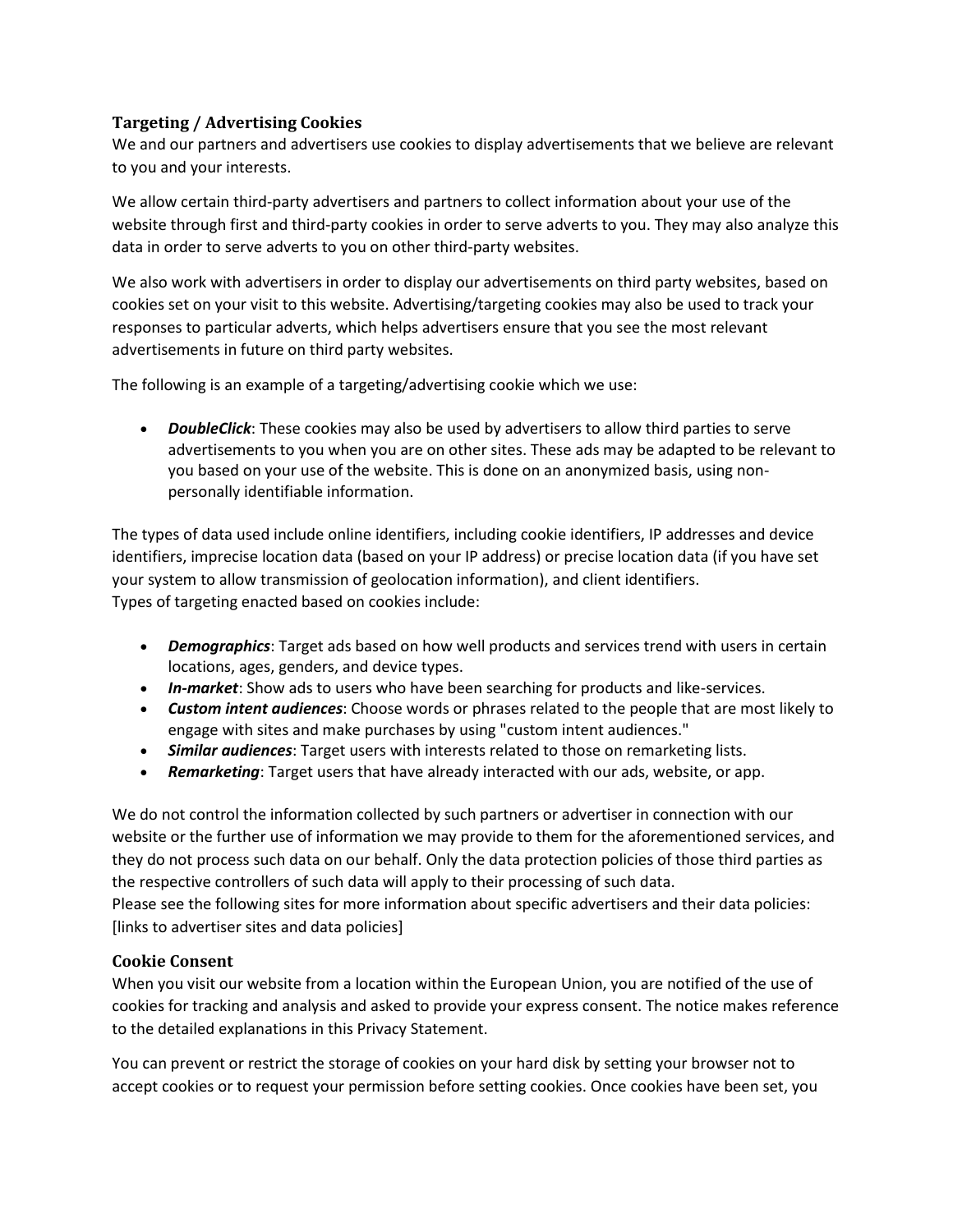#### **Targeting / Advertising Cookies**

We and our partners and advertisers use cookies to display advertisements that we believe are relevant to you and your interests.

We allow certain third-party advertisers and partners to collect information about your use of the website through first and third-party cookies in order to serve adverts to you. They may also analyze this data in order to serve adverts to you on other third-party websites.

We also work with advertisers in order to display our advertisements on third party websites, based on cookies set on your visit to this website. Advertising/targeting cookies may also be used to track your responses to particular adverts, which helps advertisers ensure that you see the most relevant advertisements in future on third party websites.

The following is an example of a targeting/advertising cookie which we use:

• *DoubleClick*: These cookies may also be used by advertisers to allow third parties to serve advertisements to you when you are on other sites. These ads may be adapted to be relevant to you based on your use of the website. This is done on an anonymized basis, using nonpersonally identifiable information.

The types of data used include online identifiers, including cookie identifiers, IP addresses and device identifiers, imprecise location data (based on your IP address) or precise location data (if you have set your system to allow transmission of geolocation information), and client identifiers. Types of targeting enacted based on cookies include:

- *Demographics*: Target ads based on how well products and services trend with users in certain locations, ages, genders, and device types.
- *In-market*: Show ads to users who have been searching for products and like-services.
- *Custom intent audiences*: Choose words or phrases related to the people that are most likely to engage with sites and make purchases by using "custom intent audiences."
- *Similar audiences*: Target users with interests related to those on remarketing lists.
- *Remarketing*: Target users that have already interacted with our ads, website, or app.

We do not control the information collected by such partners or advertiser in connection with our website or the further use of information we may provide to them for the aforementioned services, and they do not process such data on our behalf. Only the data protection policies of those third parties as the respective controllers of such data will apply to their processing of such data. Please see the following sites for more information about specific advertisers and their data policies: [links to advertiser sites and data policies]

#### **Cookie Consent**

When you visit our website from a location within the European Union, you are notified of the use of cookies for tracking and analysis and asked to provide your express consent. The notice makes reference to the detailed explanations in this Privacy Statement.

You can prevent or restrict the storage of cookies on your hard disk by setting your browser not to accept cookies or to request your permission before setting cookies. Once cookies have been set, you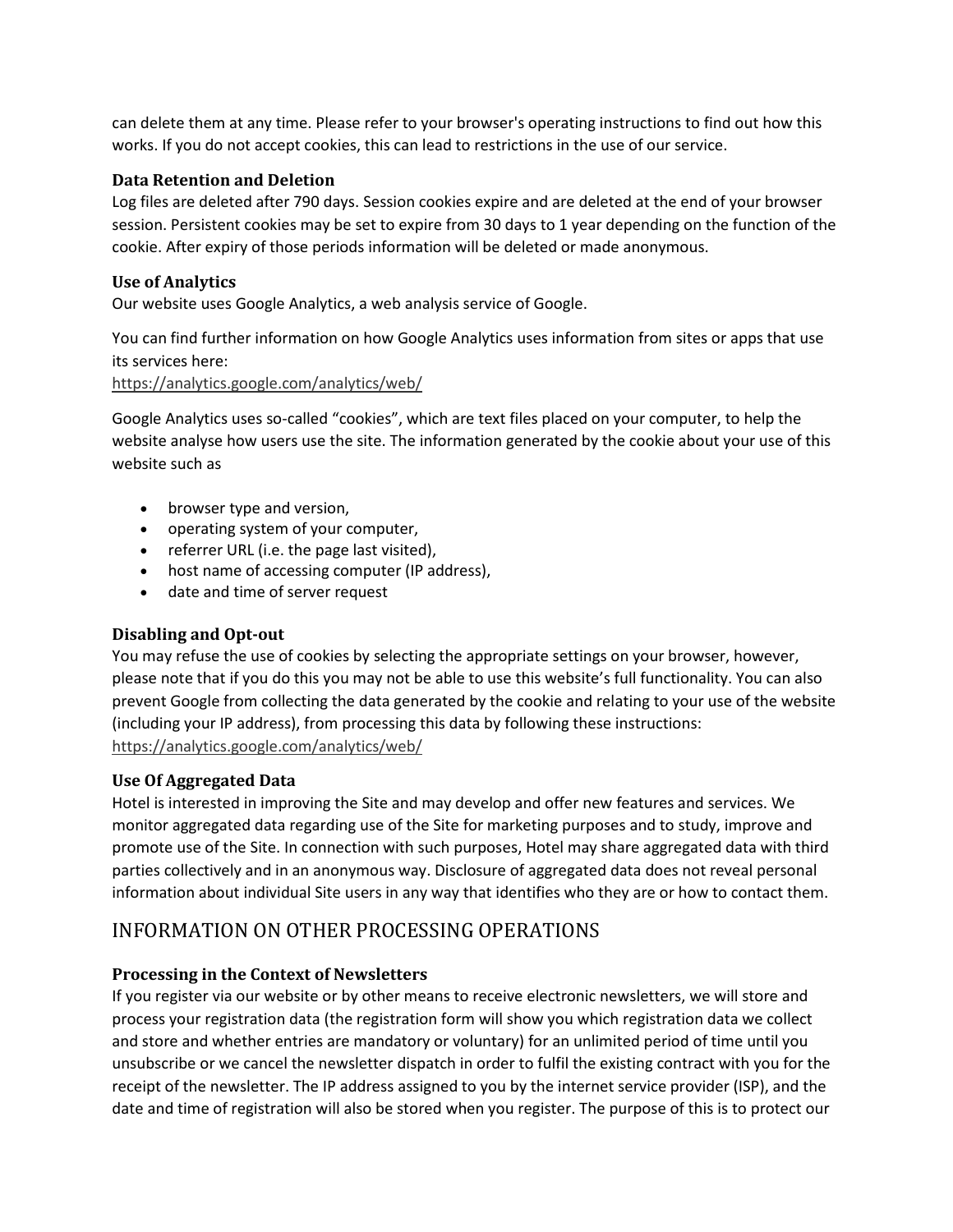can delete them at any time. Please refer to your browser's operating instructions to find out how this works. If you do not accept cookies, this can lead to restrictions in the use of our service.

#### **Data Retention and Deletion**

Log files are deleted after 790 days. Session cookies expire and are deleted at the end of your browser session. Persistent cookies may be set to expire from 30 days to 1 year depending on the function of the cookie. After expiry of those periods information will be deleted or made anonymous.

#### **Use of Analytics**

Our website uses Google Analytics, a web analysis service of Google.

You can find further information on how Google Analytics uses information from sites or apps that use its services here:

<https://analytics.google.com/analytics/web/>

Google Analytics uses so-called "cookies", which are text files placed on your computer, to help the website analyse how users use the site. The information generated by the cookie about your use of this website such as

- browser type and version,
- operating system of your computer,
- referrer URL (i.e. the page last visited),
- host name of accessing computer (IP address),
- date and time of server request

#### **Disabling and Opt-out**

You may refuse the use of cookies by selecting the appropriate settings on your browser, however, please note that if you do this you may not be able to use this website's full functionality. You can also prevent Google from collecting the data generated by the cookie and relating to your use of the website (including your IP address), from processing this data by following these instructions: <https://analytics.google.com/analytics/web/>

#### **Use Of Aggregated Data**

Hotel is interested in improving the Site and may develop and offer new features and services. We monitor aggregated data regarding use of the Site for marketing purposes and to study, improve and promote use of the Site. In connection with such purposes, Hotel may share aggregated data with third parties collectively and in an anonymous way. Disclosure of aggregated data does not reveal personal information about individual Site users in any way that identifies who they are or how to contact them.

## INFORMATION ON OTHER PROCESSING OPERATIONS

#### **Processing in the Context of Newsletters**

If you register via our website or by other means to receive electronic newsletters, we will store and process your registration data (the registration form will show you which registration data we collect and store and whether entries are mandatory or voluntary) for an unlimited period of time until you unsubscribe or we cancel the newsletter dispatch in order to fulfil the existing contract with you for the receipt of the newsletter. The IP address assigned to you by the internet service provider (ISP), and the date and time of registration will also be stored when you register. The purpose of this is to protect our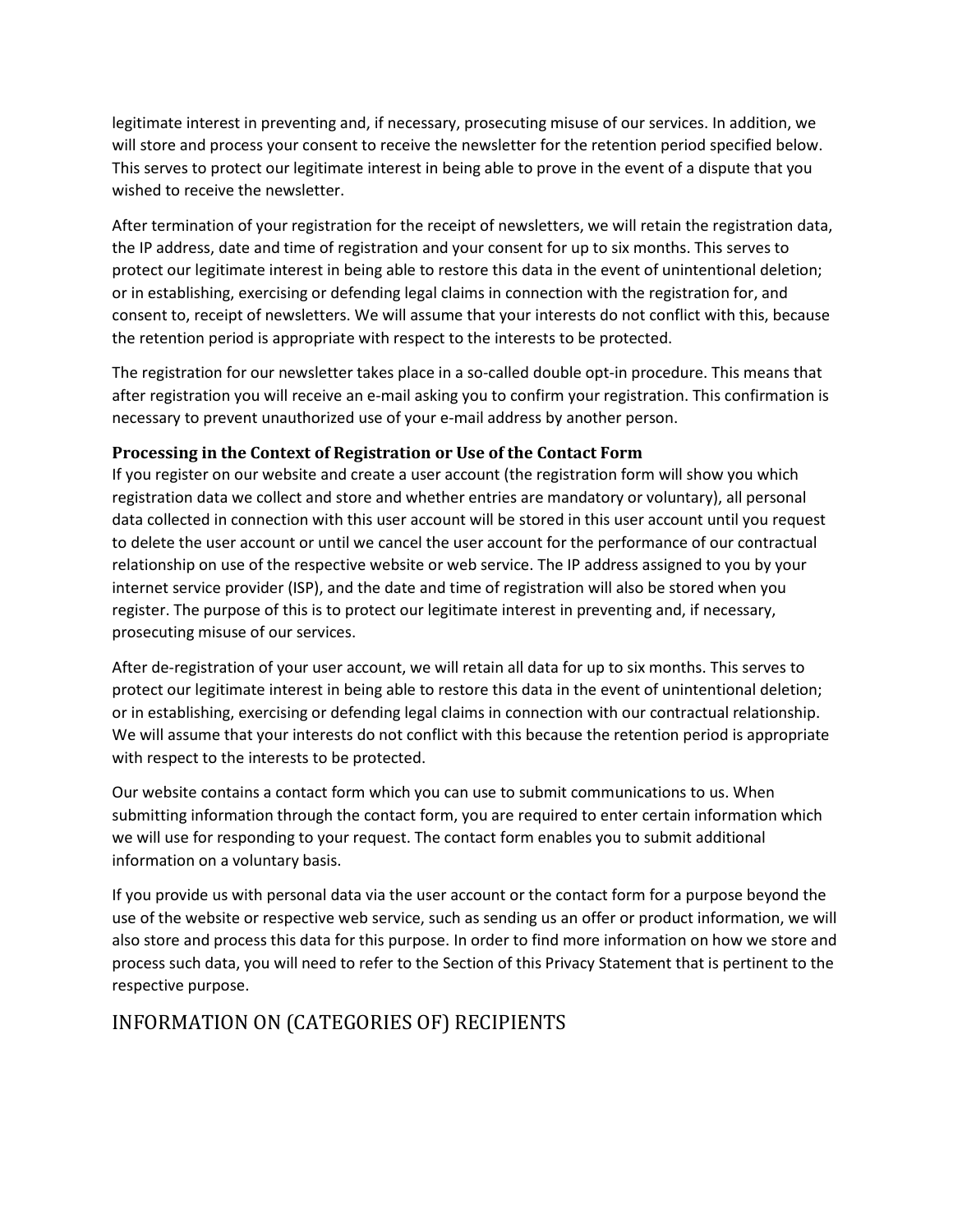legitimate interest in preventing and, if necessary, prosecuting misuse of our services. In addition, we will store and process your consent to receive the newsletter for the retention period specified below. This serves to protect our legitimate interest in being able to prove in the event of a dispute that you wished to receive the newsletter.

After termination of your registration for the receipt of newsletters, we will retain the registration data, the IP address, date and time of registration and your consent for up to six months. This serves to protect our legitimate interest in being able to restore this data in the event of unintentional deletion; or in establishing, exercising or defending legal claims in connection with the registration for, and consent to, receipt of newsletters. We will assume that your interests do not conflict with this, because the retention period is appropriate with respect to the interests to be protected.

The registration for our newsletter takes place in a so-called double opt-in procedure. This means that after registration you will receive an e-mail asking you to confirm your registration. This confirmation is necessary to prevent unauthorized use of your e-mail address by another person.

#### **Processing in the Context of Registration or Use of the Contact Form**

If you register on our website and create a user account (the registration form will show you which registration data we collect and store and whether entries are mandatory or voluntary), all personal data collected in connection with this user account will be stored in this user account until you request to delete the user account or until we cancel the user account for the performance of our contractual relationship on use of the respective website or web service. The IP address assigned to you by your internet service provider (ISP), and the date and time of registration will also be stored when you register. The purpose of this is to protect our legitimate interest in preventing and, if necessary, prosecuting misuse of our services.

After de-registration of your user account, we will retain all data for up to six months. This serves to protect our legitimate interest in being able to restore this data in the event of unintentional deletion; or in establishing, exercising or defending legal claims in connection with our contractual relationship. We will assume that your interests do not conflict with this because the retention period is appropriate with respect to the interests to be protected.

Our website contains a contact form which you can use to submit communications to us. When submitting information through the contact form, you are required to enter certain information which we will use for responding to your request. The contact form enables you to submit additional information on a voluntary basis.

If you provide us with personal data via the user account or the contact form for a purpose beyond the use of the website or respective web service, such as sending us an offer or product information, we will also store and process this data for this purpose. In order to find more information on how we store and process such data, you will need to refer to the Section of this Privacy Statement that is pertinent to the respective purpose.

## INFORMATION ON (CATEGORIES OF) RECIPIENTS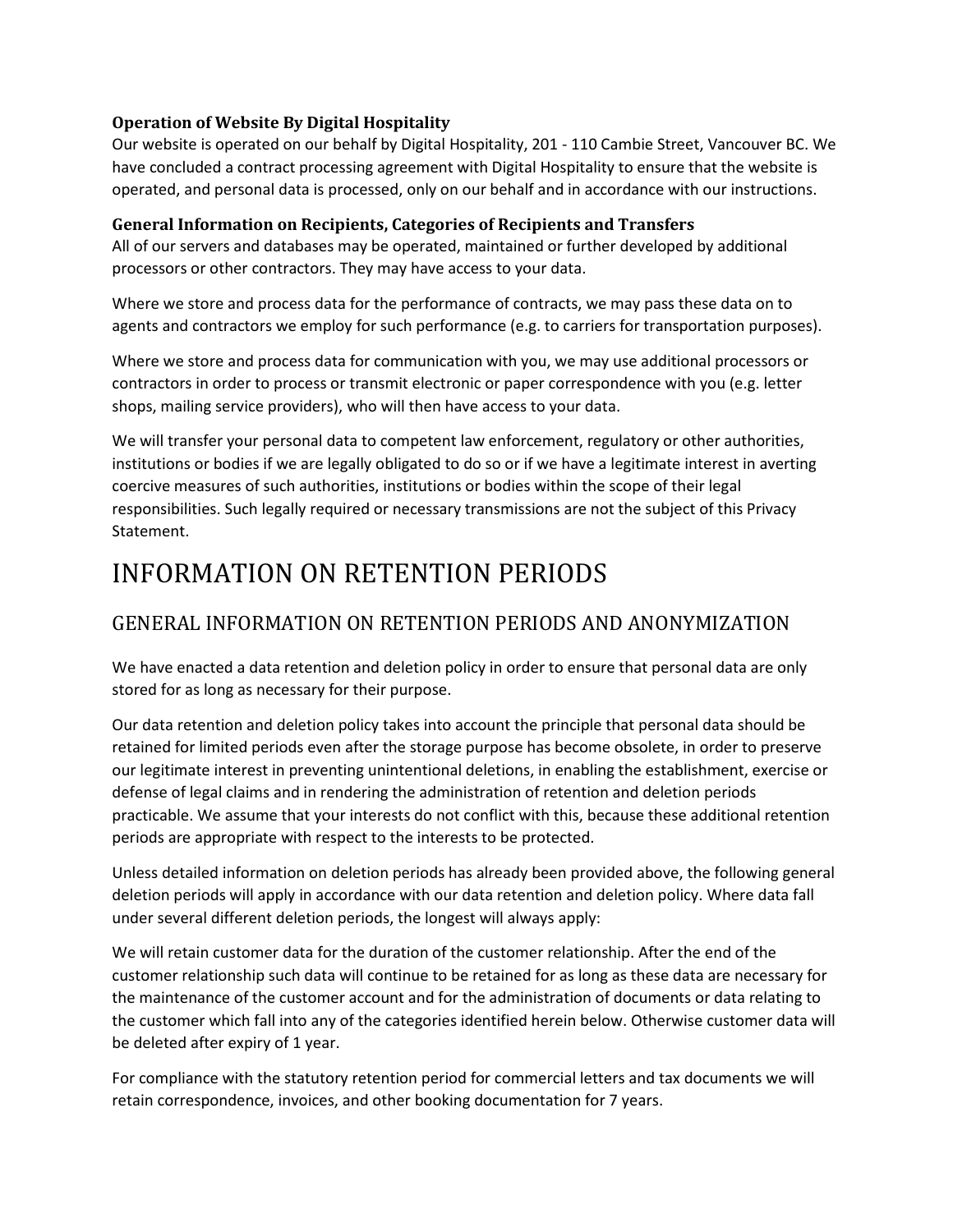#### **Operation of Website By Digital Hospitality**

Our website is operated on our behalf by Digital Hospitality, 201 - 110 Cambie Street, Vancouver BC. We have concluded a contract processing agreement with Digital Hospitality to ensure that the website is operated, and personal data is processed, only on our behalf and in accordance with our instructions.

#### **General Information on Recipients, Categories of Recipients and Transfers**

All of our servers and databases may be operated, maintained or further developed by additional processors or other contractors. They may have access to your data.

Where we store and process data for the performance of contracts, we may pass these data on to agents and contractors we employ for such performance (e.g. to carriers for transportation purposes).

Where we store and process data for communication with you, we may use additional processors or contractors in order to process or transmit electronic or paper correspondence with you (e.g. letter shops, mailing service providers), who will then have access to your data.

We will transfer your personal data to competent law enforcement, regulatory or other authorities, institutions or bodies if we are legally obligated to do so or if we have a legitimate interest in averting coercive measures of such authorities, institutions or bodies within the scope of their legal responsibilities. Such legally required or necessary transmissions are not the subject of this Privacy Statement.

# INFORMATION ON RETENTION PERIODS

# GENERAL INFORMATION ON RETENTION PERIODS AND ANONYMIZATION

We have enacted a data retention and deletion policy in order to ensure that personal data are only stored for as long as necessary for their purpose.

Our data retention and deletion policy takes into account the principle that personal data should be retained for limited periods even after the storage purpose has become obsolete, in order to preserve our legitimate interest in preventing unintentional deletions, in enabling the establishment, exercise or defense of legal claims and in rendering the administration of retention and deletion periods practicable. We assume that your interests do not conflict with this, because these additional retention periods are appropriate with respect to the interests to be protected.

Unless detailed information on deletion periods has already been provided above, the following general deletion periods will apply in accordance with our data retention and deletion policy. Where data fall under several different deletion periods, the longest will always apply:

We will retain customer data for the duration of the customer relationship. After the end of the customer relationship such data will continue to be retained for as long as these data are necessary for the maintenance of the customer account and for the administration of documents or data relating to the customer which fall into any of the categories identified herein below. Otherwise customer data will be deleted after expiry of 1 year.

For compliance with the statutory retention period for commercial letters and tax documents we will retain correspondence, invoices, and other booking documentation for 7 years.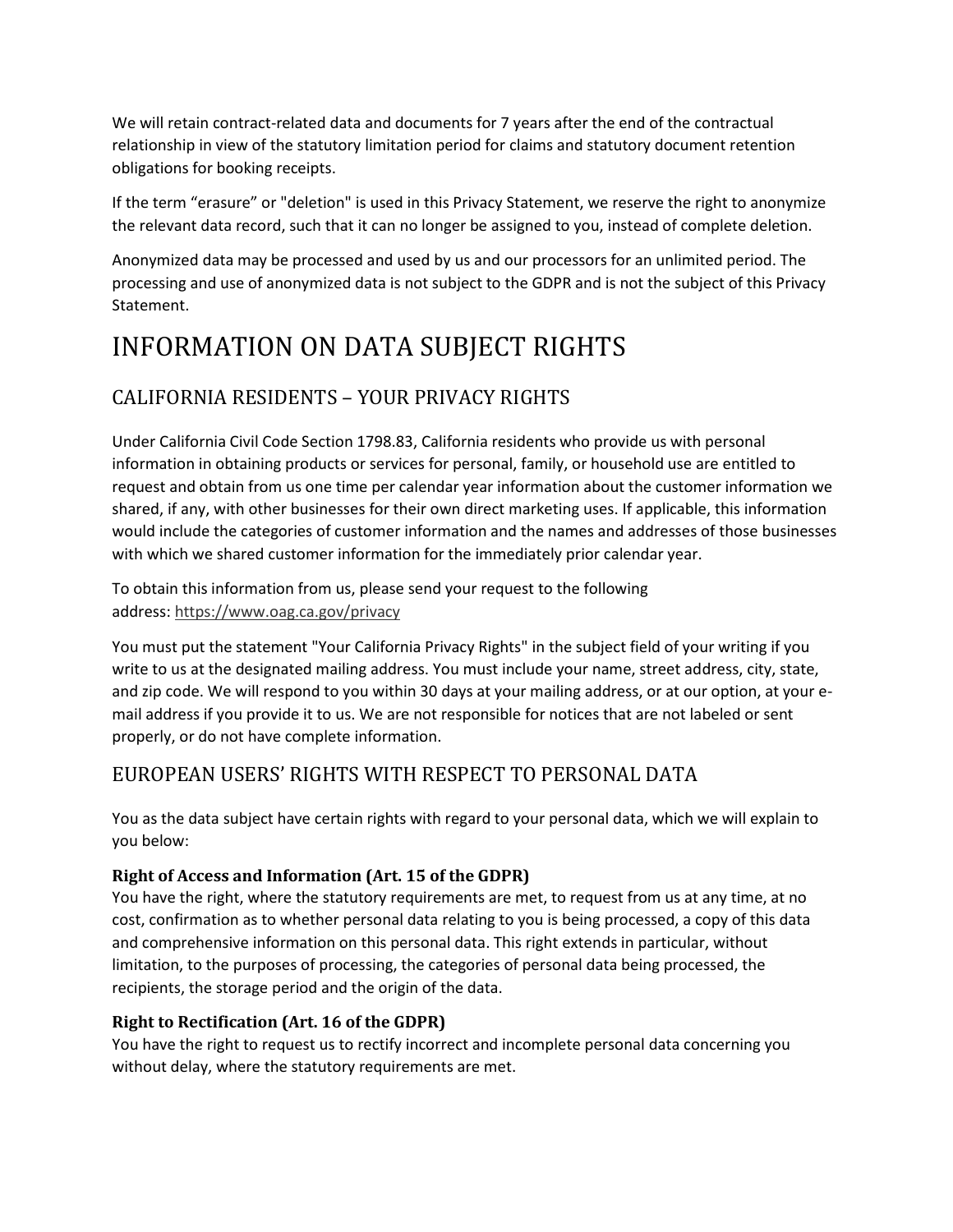We will retain contract-related data and documents for 7 years after the end of the contractual relationship in view of the statutory limitation period for claims and statutory document retention obligations for booking receipts.

If the term "erasure" or "deletion" is used in this Privacy Statement, we reserve the right to anonymize the relevant data record, such that it can no longer be assigned to you, instead of complete deletion.

Anonymized data may be processed and used by us and our processors for an unlimited period. The processing and use of anonymized data is not subject to the GDPR and is not the subject of this Privacy Statement.

# INFORMATION ON DATA SUBJECT RIGHTS

# CALIFORNIA RESIDENTS – YOUR PRIVACY RIGHTS

Under California Civil Code Section 1798.83, California residents who provide us with personal information in obtaining products or services for personal, family, or household use are entitled to request and obtain from us one time per calendar year information about the customer information we shared, if any, with other businesses for their own direct marketing uses. If applicable, this information would include the categories of customer information and the names and addresses of those businesses with which we shared customer information for the immediately prior calendar year.

To obtain this information from us, please send your request to the following address: <https://www.oag.ca.gov/privacy>

You must put the statement "Your California Privacy Rights" in the subject field of your writing if you write to us at the designated mailing address. You must include your name, street address, city, state, and zip code. We will respond to you within 30 days at your mailing address, or at our option, at your email address if you provide it to us. We are not responsible for notices that are not labeled or sent properly, or do not have complete information.

## EUROPEAN USERS' RIGHTS WITH RESPECT TO PERSONAL DATA

You as the data subject have certain rights with regard to your personal data, which we will explain to you below:

### **Right of Access and Information (Art. 15 of the GDPR)**

You have the right, where the statutory requirements are met, to request from us at any time, at no cost, confirmation as to whether personal data relating to you is being processed, a copy of this data and comprehensive information on this personal data. This right extends in particular, without limitation, to the purposes of processing, the categories of personal data being processed, the recipients, the storage period and the origin of the data.

### **Right to Rectification (Art. 16 of the GDPR)**

You have the right to request us to rectify incorrect and incomplete personal data concerning you without delay, where the statutory requirements are met.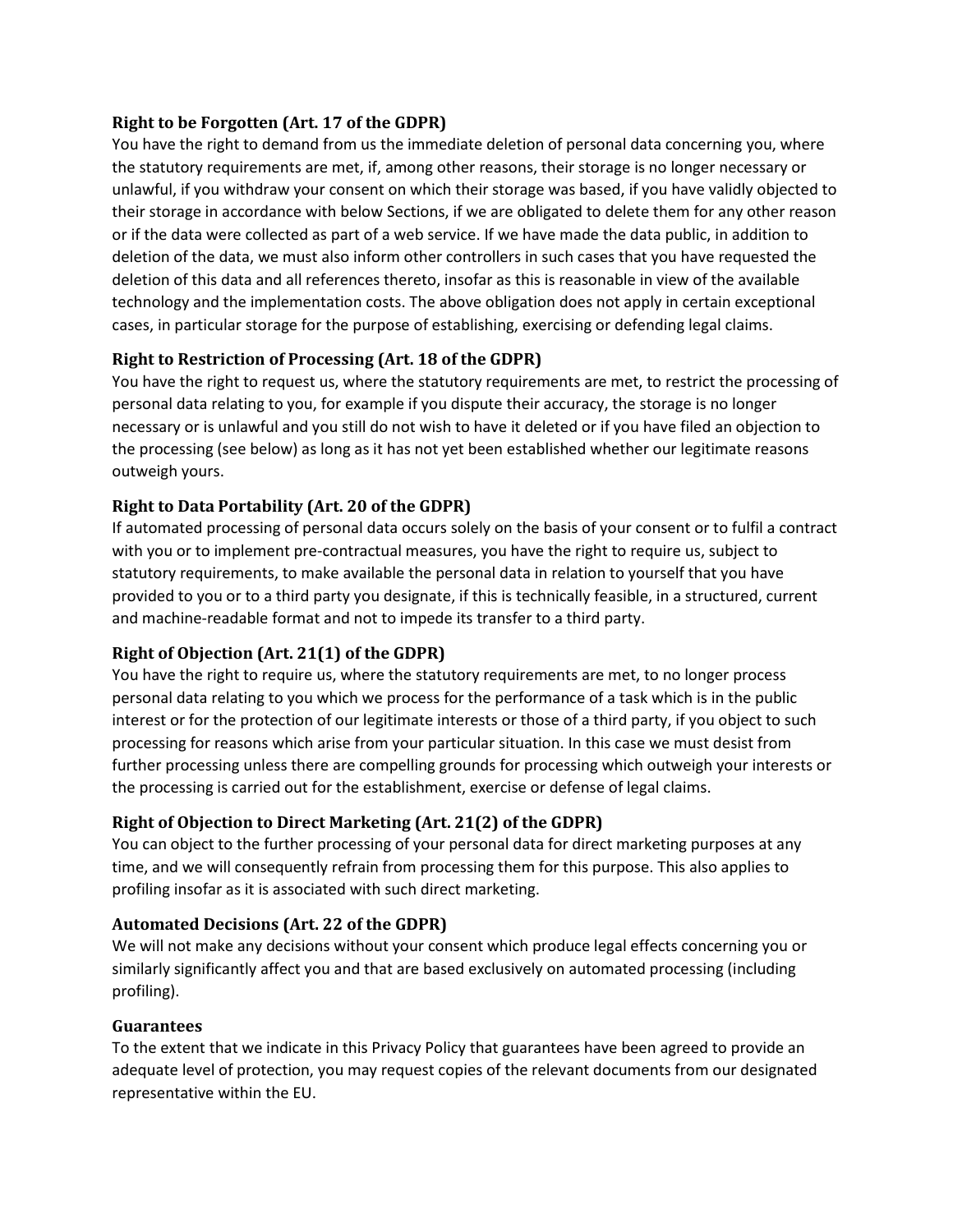#### **Right to be Forgotten (Art. 17 of the GDPR)**

You have the right to demand from us the immediate deletion of personal data concerning you, where the statutory requirements are met, if, among other reasons, their storage is no longer necessary or unlawful, if you withdraw your consent on which their storage was based, if you have validly objected to their storage in accordance with below Sections, if we are obligated to delete them for any other reason or if the data were collected as part of a web service. If we have made the data public, in addition to deletion of the data, we must also inform other controllers in such cases that you have requested the deletion of this data and all references thereto, insofar as this is reasonable in view of the available technology and the implementation costs. The above obligation does not apply in certain exceptional cases, in particular storage for the purpose of establishing, exercising or defending legal claims.

### **Right to Restriction of Processing (Art. 18 of the GDPR)**

You have the right to request us, where the statutory requirements are met, to restrict the processing of personal data relating to you, for example if you dispute their accuracy, the storage is no longer necessary or is unlawful and you still do not wish to have it deleted or if you have filed an objection to the processing (see below) as long as it has not yet been established whether our legitimate reasons outweigh yours.

### **Right to Data Portability (Art. 20 of the GDPR)**

If automated processing of personal data occurs solely on the basis of your consent or to fulfil a contract with you or to implement pre-contractual measures, you have the right to require us, subject to statutory requirements, to make available the personal data in relation to yourself that you have provided to you or to a third party you designate, if this is technically feasible, in a structured, current and machine-readable format and not to impede its transfer to a third party.

### **Right of Objection (Art. 21(1) of the GDPR)**

You have the right to require us, where the statutory requirements are met, to no longer process personal data relating to you which we process for the performance of a task which is in the public interest or for the protection of our legitimate interests or those of a third party, if you object to such processing for reasons which arise from your particular situation. In this case we must desist from further processing unless there are compelling grounds for processing which outweigh your interests or the processing is carried out for the establishment, exercise or defense of legal claims.

## **Right of Objection to Direct Marketing (Art. 21(2) of the GDPR)**

You can object to the further processing of your personal data for direct marketing purposes at any time, and we will consequently refrain from processing them for this purpose. This also applies to profiling insofar as it is associated with such direct marketing.

### **Automated Decisions (Art. 22 of the GDPR)**

We will not make any decisions without your consent which produce legal effects concerning you or similarly significantly affect you and that are based exclusively on automated processing (including profiling).

### **Guarantees**

To the extent that we indicate in this Privacy Policy that guarantees have been agreed to provide an adequate level of protection, you may request copies of the relevant documents from our designated representative within the EU.